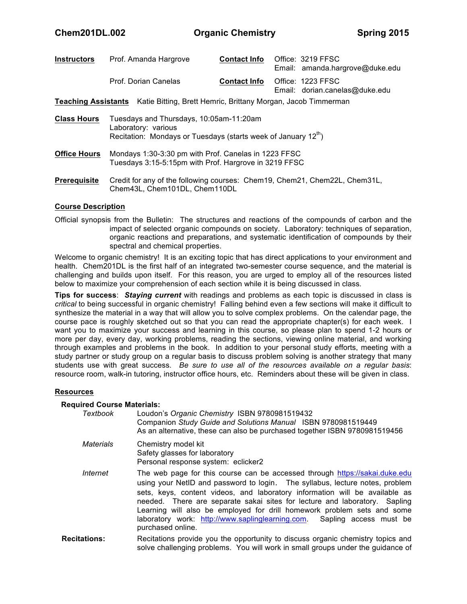| <b>Instructors</b>                                                                       | Prof. Amanda Hargrove                                          | <b>Contact Info</b> | Office: 3219 FFSC<br>Email: amanda.hargrove@duke.edu |  |  |  |  |
|------------------------------------------------------------------------------------------|----------------------------------------------------------------|---------------------|------------------------------------------------------|--|--|--|--|
|                                                                                          | Prof. Dorian Canelas                                           | <b>Contact Info</b> | Office: 1223 FFSC<br>Email: dorian.canelas@duke.edu  |  |  |  |  |
| <b>Teaching Assistants</b> Katie Bitting, Brett Hemric, Brittany Morgan, Jacob Timmerman |                                                                |                     |                                                      |  |  |  |  |
| <b>Class Hours</b>                                                                       | Tuesdays and Thursdays, 10:05am-11:20am<br>Laboratory: various |                     |                                                      |  |  |  |  |

Recitation: Mondays or Tuesdays (starts week of January  $12<sup>th</sup>$ )

- **Office Hours** Mondays 1:30-3:30 pm with Prof. Canelas in 1223 FFSC Tuesdays 3:15-5:15pm with Prof. Hargrove in 3219 FFSC
- **Prerequisite** Credit for any of the following courses: Chem19, Chem21, Chem22L, Chem31L, Chem43L, Chem101DL, Chem110DL

#### **Course Description**

Official synopsis from the Bulletin: The structures and reactions of the compounds of carbon and the impact of selected organic compounds on society. Laboratory: techniques of separation, organic reactions and preparations, and systematic identification of compounds by their spectral and chemical properties.

Welcome to organic chemistry! It is an exciting topic that has direct applications to your environment and health. Chem201DL is the first half of an integrated two-semester course sequence, and the material is challenging and builds upon itself. For this reason, you are urged to employ all of the resources listed below to maximize your comprehension of each section while it is being discussed in class*.* 

**Tips for success**: *Staying current* with readings and problems as each topic is discussed in class is *critical* to being successful in organic chemistry! Falling behind even a few sections will make it difficult to synthesize the material in a way that will allow you to solve complex problems. On the calendar page, the course pace is roughly sketched out so that you can read the appropriate chapter(s) for each week. I want you to maximize your success and learning in this course, so please plan to spend 1-2 hours or more per day, every day, working problems, reading the sections, viewing online material, and working through examples and problems in the book. In addition to your personal study efforts, meeting with a study partner or study group on a regular basis to discuss problem solving is another strategy that many students use with great success. *Be sure to use all of the resources available on a regular basis*: resource room, walk-in tutoring, instructor office hours, etc. Reminders about these will be given in class.

#### **Resources**

#### **Required Course Materials:**

| Textbook         | Loudon's Organic Chemistry ISBN 9780981519432<br>Companion Study Guide and Solutions Manual ISBN 9780981519449<br>As an alternative, these can also be purchased together ISBN 9780981519456                                                                                                                                                                                                                                                                                                        |
|------------------|-----------------------------------------------------------------------------------------------------------------------------------------------------------------------------------------------------------------------------------------------------------------------------------------------------------------------------------------------------------------------------------------------------------------------------------------------------------------------------------------------------|
| <b>Materials</b> | Chemistry model kit<br>Safety glasses for laboratory<br>Personal response system: eclicker2                                                                                                                                                                                                                                                                                                                                                                                                         |
| Internet         | The web page for this course can be accessed through https://sakai.duke.edu<br>using your NetID and password to login. The syllabus, lecture notes, problem<br>sets, keys, content videos, and laboratory information will be available as<br>needed. There are separate sakai sites for lecture and laboratory. Sapling<br>Learning will also be employed for drill homework problem sets and some<br>laboratory work: http://www.saplinglearning.com. Sapling access must be<br>purchased online. |
| itatione ·       | Recitations provide you the opportunity to discuss organic chemistry topics and                                                                                                                                                                                                                                                                                                                                                                                                                     |

**Recitations:** Recitations provide you the opportunity to discuss organic chemistry topics and solve challenging problems. You will work in small groups under the guidance of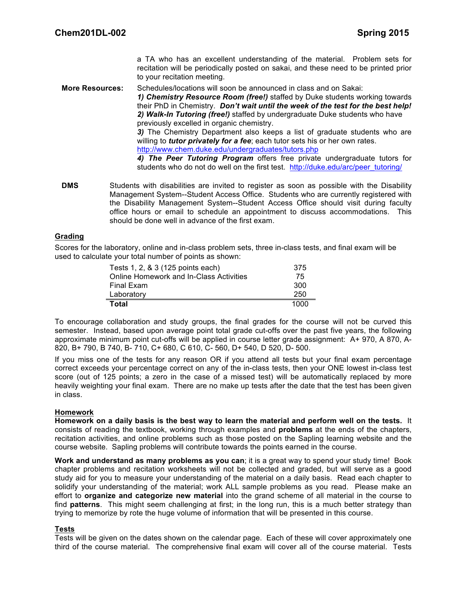a TA who has an excellent understanding of the material. Problem sets for recitation will be periodically posted on sakai, and these need to be printed prior to your recitation meeting.

**More Resources:** Schedules/locations will soon be announced in class and on Sakai:

*1) Chemistry Resource Room (free!)* staffed by Duke students working towards their PhD in Chemistry. *Don't wait until the week of the test for the best help! 2) Walk-In Tutoring (free!)* staffed by undergraduate Duke students who have previously excelled in organic chemistry.

*3)* The Chemistry Department also keeps a list of graduate students who are willing to *tutor privately for a fee*; each tutor sets his or her own rates. http://www.chem.duke.edu/undergraduates/tutors.php

*4) The Peer Tutoring Program* offers free private undergraduate tutors for students who do not do well on the first test. http://duke.edu/arc/peer\_tutoring/

**DMS** Students with disabilities are invited to register as soon as possible with the Disability Management System--Student Access Office. Students who are currently registered with the Disability Management System--Student Access Office should visit during faculty office hours or email to schedule an appointment to discuss accommodations. This should be done well in advance of the first exam.

#### **Grading**

Scores for the laboratory, online and in-class problem sets, three in-class tests, and final exam will be used to calculate your total number of points as shown:

| Tests 1, 2, & 3 (125 points each)              | 375  |
|------------------------------------------------|------|
| <b>Online Homework and In-Class Activities</b> | 75   |
| <b>Final Exam</b>                              | 300  |
| Laboratory                                     | 250  |
| Total                                          | 1000 |

To encourage collaboration and study groups, the final grades for the course will not be curved this semester. Instead, based upon average point total grade cut-offs over the past five years, the following approximate minimum point cut-offs will be applied in course letter grade assignment: A+ 970, A 870, A-820, B+ 790, B 740, B- 710, C+ 680, C 610, C- 560, D+ 540, D 520, D- 500.

If you miss one of the tests for any reason OR if you attend all tests but your final exam percentage correct exceeds your percentage correct on any of the in-class tests, then your ONE lowest in-class test score (out of 125 points; a zero in the case of a missed test) will be automatically replaced by more heavily weighting your final exam. There are no make up tests after the date that the test has been given in class.

#### **Homework**

**Homework on a daily basis is the best way to learn the material and perform well on the tests.** It consists of reading the textbook, working through examples and **problems** at the ends of the chapters, recitation activities, and online problems such as those posted on the Sapling learning website and the course website. Sapling problems will contribute towards the points earned in the course.

**Work and understand as many problems as you can**; it is a great way to spend your study time! Book chapter problems and recitation worksheets will not be collected and graded, but will serve as a good study aid for you to measure your understanding of the material on a daily basis. Read each chapter to solidify your understanding of the material; work ALL sample problems as you read. Please make an effort to **organize and categorize new material** into the grand scheme of all material in the course to find **patterns**. This might seem challenging at first; in the long run, this is a much better strategy than trying to memorize by rote the huge volume of information that will be presented in this course.

#### **Tests**

Tests will be given on the dates shown on the calendar page. Each of these will cover approximately one third of the course material. The comprehensive final exam will cover all of the course material. Tests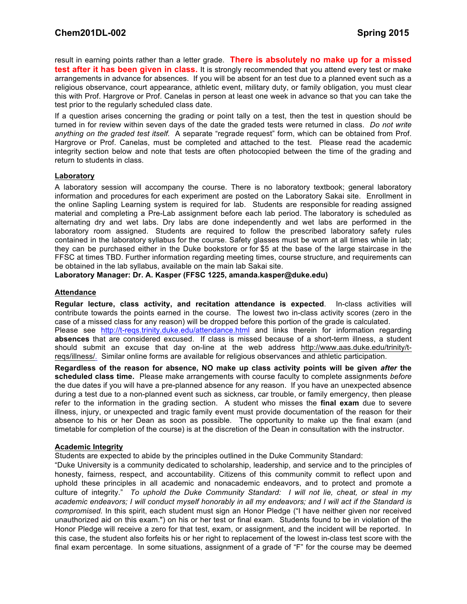result in earning points rather than a letter grade. **There is absolutely no make up for a missed test after it has been given in class.** It is strongly recommended that you attend every test or make arrangements in advance for absences. If you will be absent for an test due to a planned event such as a religious observance, court appearance, athletic event, military duty, or family obligation, you must clear this with Prof. Hargrove or Prof. Canelas in person at least one week in advance so that you can take the test prior to the regularly scheduled class date.

If a question arises concerning the grading or point tally on a test, then the test in question should be turned in for review within seven days of the date the graded tests were returned in class. *Do not write anything on the graded test itself.* A separate "regrade request" form, which can be obtained from Prof. Hargrove or Prof. Canelas, must be completed and attached to the test. Please read the academic integrity section below and note that tests are often photocopied between the time of the grading and return to students in class.

#### **Laboratory**

A laboratory session will accompany the course. There is no laboratory textbook; general laboratory information and procedures for each experiment are posted on the Laboratory Sakai site. Enrollment in the online Sapling Learning system is required for lab. Students are responsible for reading assigned material and completing a Pre-Lab assignment before each lab period. The laboratory is scheduled as alternating dry and wet labs. Dry labs are done independently and wet labs are performed in the laboratory room assigned. Students are required to follow the prescribed laboratory safety rules contained in the laboratory syllabus for the course. Safety glasses must be worn at all times while in lab; they can be purchased either in the Duke bookstore or for \$5 at the base of the large staircase in the FFSC at times TBD. Further information regarding meeting times, course structure, and requirements can be obtained in the lab syllabus, available on the main lab Sakai site.

**Laboratory Manager: Dr. A. Kasper (FFSC 1225, amanda.kasper@duke.edu)**

#### **Attendance**

**Regular lecture, class activity, and recitation attendance is expected**. In-class activities will contribute towards the points earned in the course. The lowest two in-class activity scores (zero in the case of a missed class for any reason) will be dropped before this portion of the grade is calculated. Please see http://t-reqs.trinity.duke.edu/attendance.html and links therein for information regarding **absences** that are considered excused. If class is missed because of a short-term illness, a student should submit an excuse that day on-line at the web address http://www.aas.duke.edu/trinity/treqs/illness/. Similar online forms are available for religious observances and athletic participation.

**Regardless of the reason for absence, NO make up class activity points will be given** *after* **the scheduled class time.** Please make arrangements with course faculty to complete assignments *before* the due dates if you will have a pre-planned absence for any reason. If you have an unexpected absence during a test due to a non-planned event such as sickness, car trouble, or family emergency, then please refer to the information in the grading section. A student who misses the **final exam** due to severe illness, injury, or unexpected and tragic family event must provide documentation of the reason for their absence to his or her Dean as soon as possible. The opportunity to make up the final exam (and timetable for completion of the course) is at the discretion of the Dean in consultation with the instructor.

#### **Academic Integrity**

Students are expected to abide by the principles outlined in the Duke Community Standard:

"Duke University is a community dedicated to scholarship, leadership, and service and to the principles of honesty, fairness, respect, and accountability. Citizens of this community commit to reflect upon and uphold these principles in all academic and nonacademic endeavors, and to protect and promote a culture of integrity." *To uphold the Duke Community Standard: I will not lie, cheat, or steal in my academic endeavors; I will conduct myself honorably in all my endeavors; and I will act if the Standard is compromised.* In this spirit, each student must sign an Honor Pledge ("I have neither given nor received unauthorized aid on this exam.") on his or her test or final exam. Students found to be in violation of the Honor Pledge will receive a zero for that test, exam, or assignment, and the incident will be reported. In this case, the student also forfeits his or her right to replacement of the lowest in-class test score with the final exam percentage. In some situations, assignment of a grade of "F" for the course may be deemed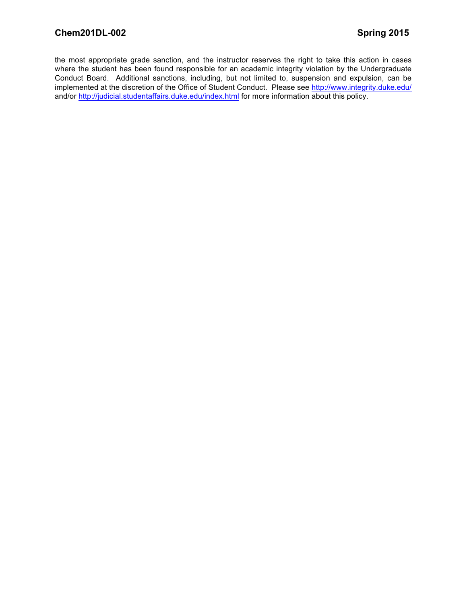the most appropriate grade sanction, and the instructor reserves the right to take this action in cases where the student has been found responsible for an academic integrity violation by the Undergraduate Conduct Board. Additional sanctions, including, but not limited to, suspension and expulsion, can be implemented at the discretion of the Office of Student Conduct. Please see http://www.integrity.duke.edu/ and/or http://judicial.studentaffairs.duke.edu/index.html for more information about this policy.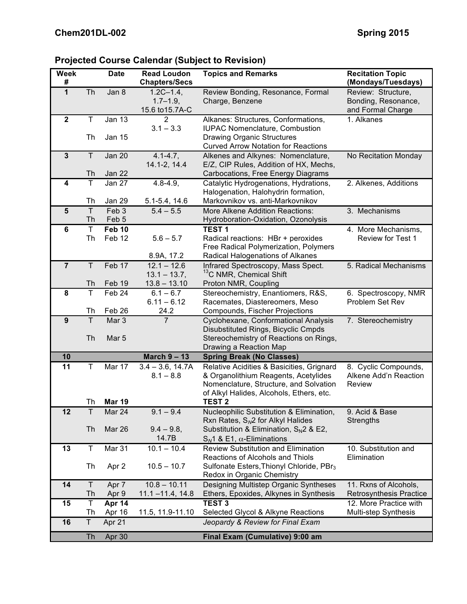# **Projected Course Calendar (Subject to Revision)**

| <b>Week</b><br>#        |                    | <b>Date</b>               | <b>Read Loudon</b><br><b>Chapters/Secs</b>         | <b>Topics and Remarks</b>                                                          | <b>Recitation Topic</b><br>(Mondays/Tuesdays)                  |
|-------------------------|--------------------|---------------------------|----------------------------------------------------|------------------------------------------------------------------------------------|----------------------------------------------------------------|
| $\mathbf{1}$            | Th                 | Jan 8                     | $1.2C - 1.4$ ,<br>$1.7 - 1.9$ ,<br>15.6 to 15.7A-C | Review Bonding, Resonance, Formal<br>Charge, Benzene                               | Review: Structure,<br>Bonding, Resonance,<br>and Formal Charge |
| $\overline{2}$          | $\mathsf T$        | <b>Jan 13</b>             | $\overline{2}$<br>$3.1 - 3.3$                      | Alkanes: Structures, Conformations,<br><b>IUPAC Nomenclature, Combustion</b>       | 1. Alkanes                                                     |
|                         | Th                 | Jan 15                    |                                                    | <b>Drawing Organic Structures</b><br><b>Curved Arrow Notation for Reactions</b>    |                                                                |
| $\overline{\mathbf{3}}$ | T                  | <b>Jan 20</b>             | $4.1 - 4.7,$<br>14.1-2, 14.4                       | Alkenes and Alkynes: Nomenclature,<br>E/Z, CIP Rules, Addition of HX, Mechs,       | No Recitation Monday                                           |
|                         | Th                 | Jan 22                    |                                                    | Carbocations, Free Energy Diagrams                                                 |                                                                |
| $\overline{\mathbf{4}}$ | T                  | Jan 27                    | $4.8 - 4.9,$                                       | Catalytic Hydrogenations, Hydrations,<br>Halogenation, Halohydrin formation,       | 2. Alkenes, Additions                                          |
|                         | Th                 | Jan 29                    | 5.1-5.4, 14.6                                      | Markovnikov vs. anti-Markovnikov                                                   |                                                                |
| $\overline{5}$          | $\mathsf{T}$<br>Th | Feb <sub>3</sub><br>Feb 5 | $5.4 - 5.5$                                        | More Alkene Addition Reactions:<br>Hydroboration-Oxidation, Ozonolysis             | 3. Mechanisms                                                  |
| 6                       | $\mathsf T$        | Feb 10                    |                                                    | <b>TEST1</b>                                                                       | 4. More Mechanisms,                                            |
|                         | Th                 | Feb 12                    | $5.6 - 5.7$                                        | Radical reactions: HBr + peroxides                                                 | <b>Review for Test 1</b>                                       |
|                         |                    |                           | 8.9A, 17.2                                         | Free Radical Polymerization, Polymers<br>Radical Halogenations of Alkanes          |                                                                |
| $\overline{7}$          | T                  | Feb 17                    | $12.1 - 12.6$<br>$13.1 - 13.7$ ,                   | Infrared Spectroscopy, Mass Spect.<br><sup>13</sup> C NMR, Chemical Shift          | 5. Radical Mechanisms                                          |
|                         | Th                 | Feb 19                    | $13.8 - 13.10$                                     | Proton NMR, Coupling                                                               |                                                                |
| 8                       | T                  | Feb 24                    | $6.1 - 6.7$                                        | Stereochemistry, Enantiomers, R&S,                                                 | 6. Spectroscopy, NMR                                           |
|                         |                    |                           | $6.11 - 6.12$                                      | Racemates, Diastereomers, Meso                                                     | Problem Set Rev                                                |
|                         | Th                 | Feb 26                    | 24.2                                               | Compounds, Fischer Projections                                                     |                                                                |
| $\overline{9}$          | T                  | Mar <sub>3</sub>          | $\overline{7}$                                     | Cyclohexane, Conformational Analysis                                               | 7. Stereochemistry                                             |
|                         | Th                 | Mar <sub>5</sub>          |                                                    | Disubstituted Rings, Bicyclic Cmpds<br>Stereochemistry of Reactions on Rings,      |                                                                |
|                         |                    |                           |                                                    | Drawing a Reaction Map                                                             |                                                                |
| 10                      |                    |                           | March $9 - 13$                                     | <b>Spring Break (No Classes)</b>                                                   |                                                                |
| 11                      | T                  | Mar 17                    | $3.4 - 3.6$ , 14.7A                                | Relative Acidities & Basicities, Grignard                                          | 8. Cyclic Compounds,                                           |
|                         |                    |                           | $8.1 - 8.8$                                        | & Organolithium Reagents, Acetylides                                               | Alkene Add'n Reaction                                          |
|                         |                    |                           |                                                    | Nomenclature, Structure, and Solvation                                             | Review                                                         |
|                         | Th                 | <b>Mar 19</b>             |                                                    | of Alkyl Halides, Alcohols, Ethers, etc.<br><b>TEST 2</b>                          |                                                                |
| 12                      | Τ                  | Mar 24                    | $9.1 - 9.4$                                        | Nucleophilic Substitution & Elimination,                                           | 9. Acid & Base                                                 |
|                         |                    |                           |                                                    | Rxn Rates, $S_N2$ for Alkyl Halides                                                | <b>Strengths</b>                                               |
|                         | Th                 | Mar 26                    | $9.4 - 9.8$                                        | Substitution & Elimination, $S_N2$ & E2,                                           |                                                                |
|                         |                    |                           | 14.7B                                              | $S_N$ 1 & E1, $\alpha$ -Eliminations                                               |                                                                |
| 13                      | $\top$             | Mar 31                    | $10.1 - 10.4$                                      | <b>Review Substitution and Elimination</b><br>Reactions of Alcohols and Thiols     | 10. Substitution and<br>Elimination                            |
|                         | Th                 | Apr 2                     | $10.5 - 10.7$                                      | Sulfonate Esters, Thionyl Chloride, PBr <sub>3</sub><br>Redox in Organic Chemistry |                                                                |
| 14                      | $\top$             | Apr 7                     | $10.8 - 10.11$                                     | Designing Multistep Organic Syntheses                                              | 11. Rxns of Alcohols,                                          |
|                         | Th                 | Apr 9                     | $11.1 - 11.4$ , 14.8                               | Ethers, Epoxides, Alkynes in Synthesis                                             | Retrosynthesis Practice                                        |
| 15                      | $\mathsf T$        | Apr 14                    |                                                    | <b>TEST 3</b>                                                                      | 12. More Practice with                                         |
|                         | Th                 | Apr 16                    | 11.5, 11.9-11.10                                   | Selected Glycol & Alkyne Reactions                                                 | <b>Multi-step Synthesis</b>                                    |
| 16                      | $\overline{T}$     | Apr 21                    |                                                    | Jeopardy & Review for Final Exam                                                   |                                                                |
|                         | <b>Th</b>          | Apr 30                    |                                                    | Final Exam (Cumulative) 9:00 am                                                    |                                                                |